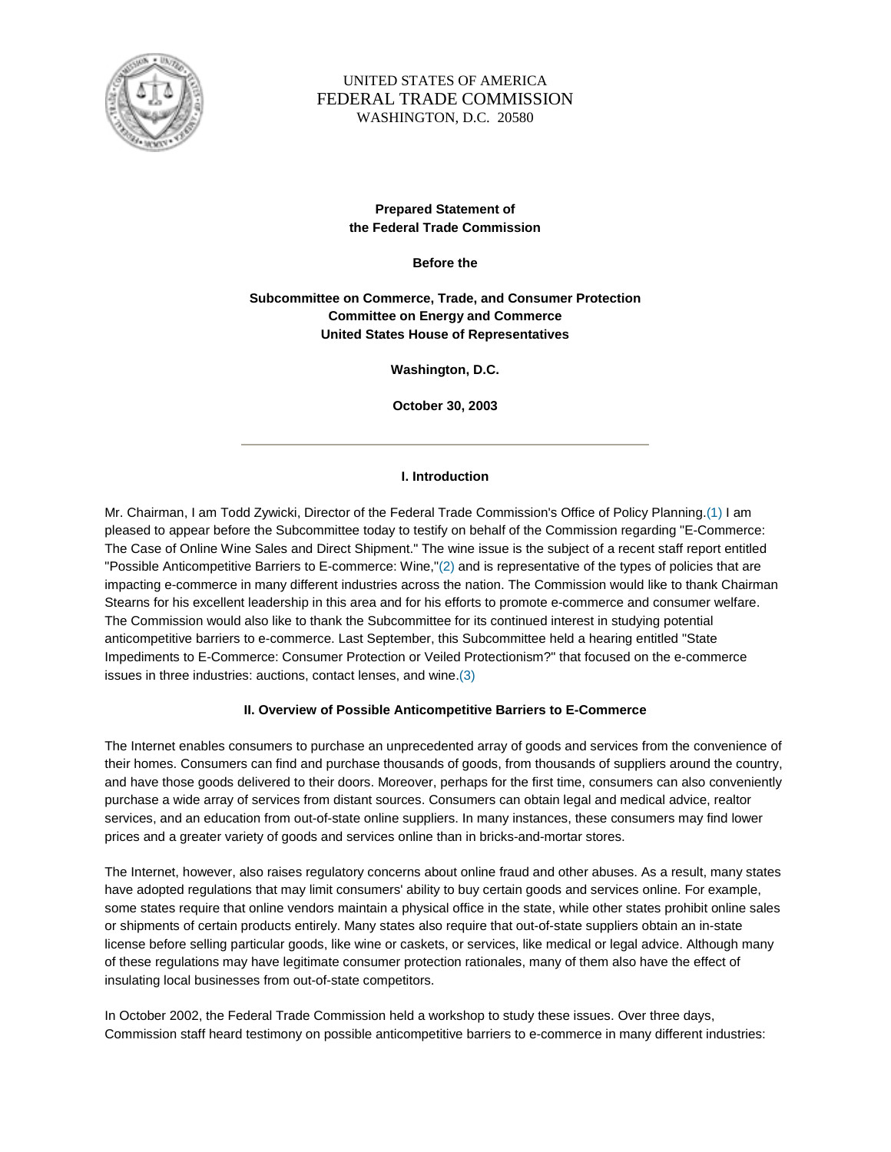

# UNITED STATES OF AMERICA FEDERAL TRADE COMMISSION WASHINGTON, D.C. 20580

# **Prepared Statement of the Federal Trade Commission**

**Before the**

**Subcommittee on Commerce, Trade, and Consumer Protection Committee on Energy and Commerce United States House of Representatives**

**Washington, D.C.**

**October 30, 2003**

### **I. Introduction**

Mr. Chairman, I am Todd Zywicki, Director of the Federal Trade Commission's Office of Policy Planning.(1) I am pleased to appear before the Subcommittee today to testify on behalf of the Commission regarding "E-Commerce: The Case of Online Wine Sales and Direct Shipment." The wine issue is the subject of a recent staff report entitled "Possible Anticompetitive Barriers to E-commerce: Wine,"(2) and is representative of the types of policies that are impacting e-commerce in many different industries across the nation. The Commission would like to thank Chairman Stearns for his excellent leadership in this area and for his efforts to promote e-commerce and consumer welfare. The Commission would also like to thank the Subcommittee for its continued interest in studying potential anticompetitive barriers to e-commerce. Last September, this Subcommittee held a hearing entitled "State Impediments to E-Commerce: Consumer Protection or Veiled Protectionism?" that focused on the e-commerce issues in three industries: auctions, contact lenses, and wine.(3)

#### **II. Overview of Possible Anticompetitive Barriers to E-Commerce**

The Internet enables consumers to purchase an unprecedented array of goods and services from the convenience of their homes. Consumers can find and purchase thousands of goods, from thousands of suppliers around the country, and have those goods delivered to their doors. Moreover, perhaps for the first time, consumers can also conveniently purchase a wide array of services from distant sources. Consumers can obtain legal and medical advice, realtor services, and an education from out-of-state online suppliers. In many instances, these consumers may find lower prices and a greater variety of goods and services online than in bricks-and-mortar stores.

The Internet, however, also raises regulatory concerns about online fraud and other abuses. As a result, many states have adopted regulations that may limit consumers' ability to buy certain goods and services online. For example, some states require that online vendors maintain a physical office in the state, while other states prohibit online sales or shipments of certain products entirely. Many states also require that out-of-state suppliers obtain an in-state license before selling particular goods, like wine or caskets, or services, like medical or legal advice. Although many of these regulations may have legitimate consumer protection rationales, many of them also have the effect of insulating local businesses from out-of-state competitors.

In October 2002, the Federal Trade Commission held a workshop to study these issues. Over three days, Commission staff heard testimony on possible anticompetitive barriers to e-commerce in many different industries: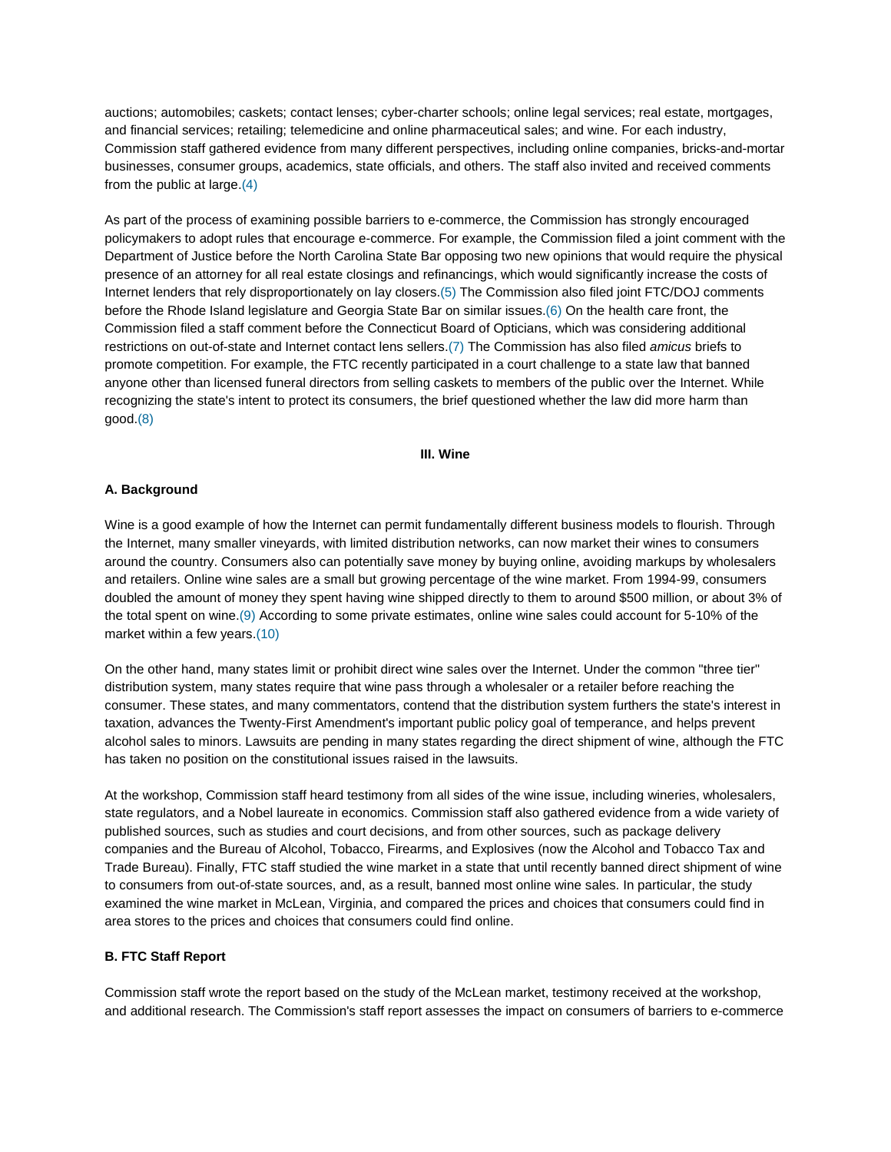auctions; automobiles; caskets; contact lenses; cyber-charter schools; online legal services; real estate, mortgages, and financial services; retailing; telemedicine and online pharmaceutical sales; and wine. For each industry, Commission staff gathered evidence from many different perspectives, including online companies, bricks-and-mortar businesses, consumer groups, academics, state officials, and others. The staff also invited and received comments from the public at large.(4)

As part of the process of examining possible barriers to e-commerce, the Commission has strongly encouraged policymakers to adopt rules that encourage e-commerce. For example, the Commission filed a joint comment with the Department of Justice before the North Carolina State Bar opposing two new opinions that would require the physical presence of an attorney for all real estate closings and refinancings, which would significantly increase the costs of Internet lenders that rely disproportionately on lay closers.(5) The Commission also filed joint FTC/DOJ comments before the Rhode Island legislature and Georgia State Bar on similar issues.(6) On the health care front, the Commission filed a staff comment before the Connecticut Board of Opticians, which was considering additional restrictions on out-of-state and Internet contact lens sellers.(7) The Commission has also filed *amicus* briefs to promote competition. For example, the FTC recently participated in a court challenge to a state law that banned anyone other than licensed funeral directors from selling caskets to members of the public over the Internet. While recognizing the state's intent to protect its consumers, the brief questioned whether the law did more harm than good.(8)

#### **III. Wine**

#### **A. Background**

Wine is a good example of how the Internet can permit fundamentally different business models to flourish. Through the Internet, many smaller vineyards, with limited distribution networks, can now market their wines to consumers around the country. Consumers also can potentially save money by buying online, avoiding markups by wholesalers and retailers. Online wine sales are a small but growing percentage of the wine market. From 1994-99, consumers doubled the amount of money they spent having wine shipped directly to them to around \$500 million, or about 3% of the total spent on wine.(9) According to some private estimates, online wine sales could account for 5-10% of the market within a few years.(10)

On the other hand, many states limit or prohibit direct wine sales over the Internet. Under the common "three tier" distribution system, many states require that wine pass through a wholesaler or a retailer before reaching the consumer. These states, and many commentators, contend that the distribution system furthers the state's interest in taxation, advances the Twenty-First Amendment's important public policy goal of temperance, and helps prevent alcohol sales to minors. Lawsuits are pending in many states regarding the direct shipment of wine, although the FTC has taken no position on the constitutional issues raised in the lawsuits.

At the workshop, Commission staff heard testimony from all sides of the wine issue, including wineries, wholesalers, state regulators, and a Nobel laureate in economics. Commission staff also gathered evidence from a wide variety of published sources, such as studies and court decisions, and from other sources, such as package delivery companies and the Bureau of Alcohol, Tobacco, Firearms, and Explosives (now the Alcohol and Tobacco Tax and Trade Bureau). Finally, FTC staff studied the wine market in a state that until recently banned direct shipment of wine to consumers from out-of-state sources, and, as a result, banned most online wine sales. In particular, the study examined the wine market in McLean, Virginia, and compared the prices and choices that consumers could find in area stores to the prices and choices that consumers could find online.

#### **B. FTC Staff Report**

Commission staff wrote the report based on the study of the McLean market, testimony received at the workshop, and additional research. The Commission's staff report assesses the impact on consumers of barriers to e-commerce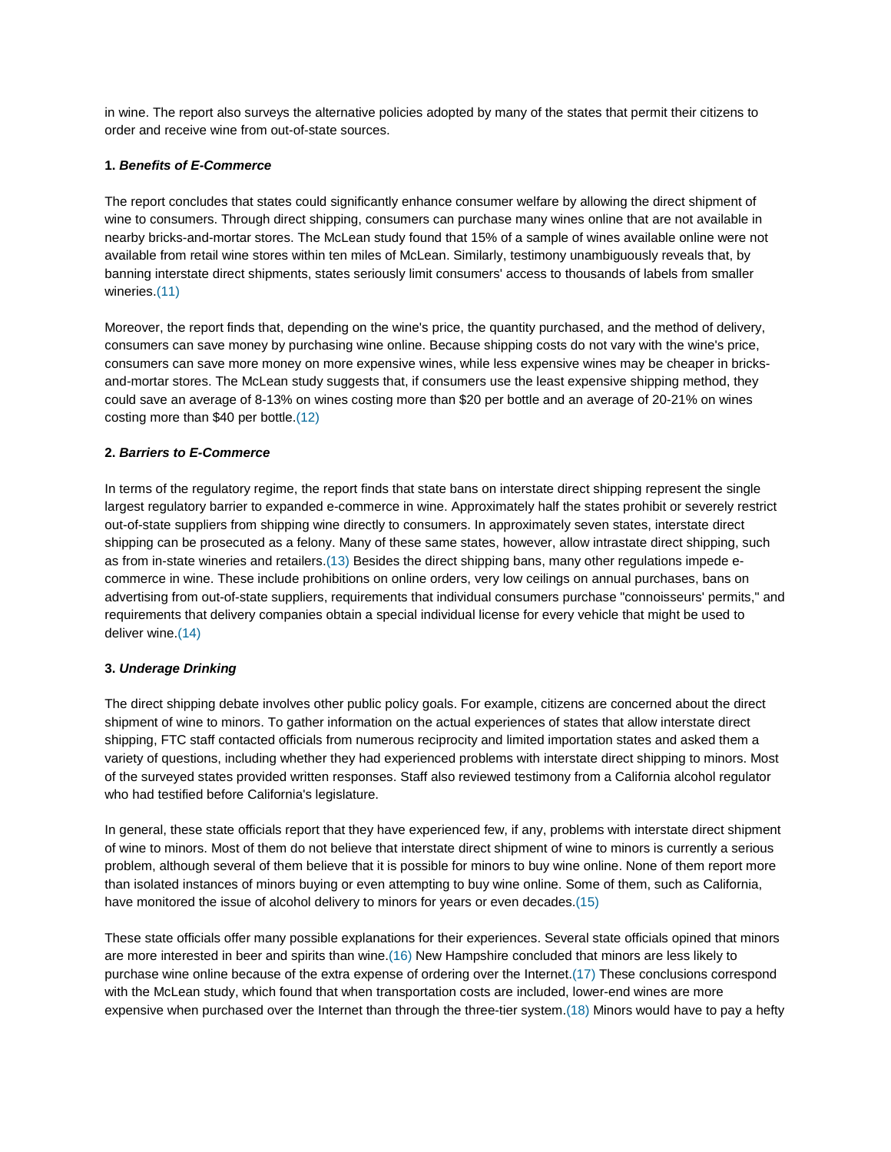in wine. The report also surveys the alternative policies adopted by many of the states that permit their citizens to order and receive wine from out-of-state sources.

### **1.** *Benefits of E-Commerce*

The report concludes that states could significantly enhance consumer welfare by allowing the direct shipment of wine to consumers. Through direct shipping, consumers can purchase many wines online that are not available in nearby bricks-and-mortar stores. The McLean study found that 15% of a sample of wines available online were not available from retail wine stores within ten miles of McLean. Similarly, testimony unambiguously reveals that, by banning interstate direct shipments, states seriously limit consumers' access to thousands of labels from smaller wineries.(11)

Moreover, the report finds that, depending on the wine's price, the quantity purchased, and the method of delivery, consumers can save money by purchasing wine online. Because shipping costs do not vary with the wine's price, consumers can save more money on more expensive wines, while less expensive wines may be cheaper in bricksand-mortar stores. The McLean study suggests that, if consumers use the least expensive shipping method, they could save an average of 8-13% on wines costing more than \$20 per bottle and an average of 20-21% on wines costing more than \$40 per bottle.(12)

# **2.** *Barriers to E-Commerce*

In terms of the regulatory regime, the report finds that state bans on interstate direct shipping represent the single largest regulatory barrier to expanded e-commerce in wine. Approximately half the states prohibit or severely restrict out-of-state suppliers from shipping wine directly to consumers. In approximately seven states, interstate direct shipping can be prosecuted as a felony. Many of these same states, however, allow intrastate direct shipping, such as from in-state wineries and retailers.(13) Besides the direct shipping bans, many other regulations impede ecommerce in wine. These include prohibitions on online orders, very low ceilings on annual purchases, bans on advertising from out-of-state suppliers, requirements that individual consumers purchase "connoisseurs' permits," and requirements that delivery companies obtain a special individual license for every vehicle that might be used to deliver wine.(14)

# **3.** *Underage Drinking*

The direct shipping debate involves other public policy goals. For example, citizens are concerned about the direct shipment of wine to minors. To gather information on the actual experiences of states that allow interstate direct shipping, FTC staff contacted officials from numerous reciprocity and limited importation states and asked them a variety of questions, including whether they had experienced problems with interstate direct shipping to minors. Most of the surveyed states provided written responses. Staff also reviewed testimony from a California alcohol regulator who had testified before California's legislature.

In general, these state officials report that they have experienced few, if any, problems with interstate direct shipment of wine to minors. Most of them do not believe that interstate direct shipment of wine to minors is currently a serious problem, although several of them believe that it is possible for minors to buy wine online. None of them report more than isolated instances of minors buying or even attempting to buy wine online. Some of them, such as California, have monitored the issue of alcohol delivery to minors for years or even decades.(15)

These state officials offer many possible explanations for their experiences. Several state officials opined that minors are more interested in beer and spirits than wine.(16) New Hampshire concluded that minors are less likely to purchase wine online because of the extra expense of ordering over the Internet.(17) These conclusions correspond with the McLean study, which found that when transportation costs are included, lower-end wines are more expensive when purchased over the Internet than through the three-tier system.(18) Minors would have to pay a hefty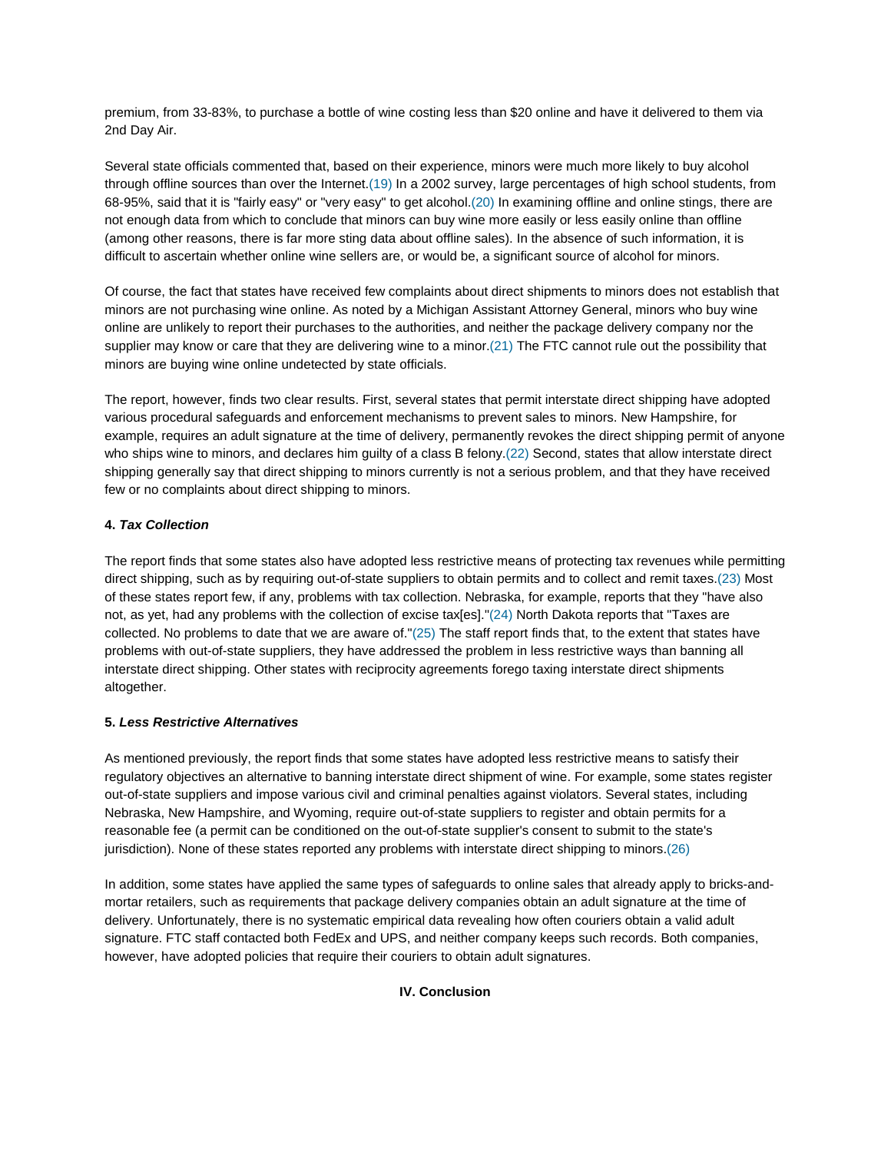premium, from 33-83%, to purchase a bottle of wine costing less than \$20 online and have it delivered to them via 2nd Day Air.

Several state officials commented that, based on their experience, minors were much more likely to buy alcohol through offline sources than over the Internet.(19) In a 2002 survey, large percentages of high school students, from 68-95%, said that it is "fairly easy" or "very easy" to get alcohol.(20) In examining offline and online stings, there are not enough data from which to conclude that minors can buy wine more easily or less easily online than offline (among other reasons, there is far more sting data about offline sales). In the absence of such information, it is difficult to ascertain whether online wine sellers are, or would be, a significant source of alcohol for minors.

Of course, the fact that states have received few complaints about direct shipments to minors does not establish that minors are not purchasing wine online. As noted by a Michigan Assistant Attorney General, minors who buy wine online are unlikely to report their purchases to the authorities, and neither the package delivery company nor the supplier may know or care that they are delivering wine to a minor.(21) The FTC cannot rule out the possibility that minors are buying wine online undetected by state officials.

The report, however, finds two clear results. First, several states that permit interstate direct shipping have adopted various procedural safeguards and enforcement mechanisms to prevent sales to minors. New Hampshire, for example, requires an adult signature at the time of delivery, permanently revokes the direct shipping permit of anyone who ships wine to minors, and declares him guilty of a class B felony.(22) Second, states that allow interstate direct shipping generally say that direct shipping to minors currently is not a serious problem, and that they have received few or no complaints about direct shipping to minors.

# **4.** *Tax Collection*

The report finds that some states also have adopted less restrictive means of protecting tax revenues while permitting direct shipping, such as by requiring out-of-state suppliers to obtain permits and to collect and remit taxes.(23) Most of these states report few, if any, problems with tax collection. Nebraska, for example, reports that they "have also not, as yet, had any problems with the collection of excise tax[es]."(24) North Dakota reports that "Taxes are collected. No problems to date that we are aware of."(25) The staff report finds that, to the extent that states have problems with out-of-state suppliers, they have addressed the problem in less restrictive ways than banning all interstate direct shipping. Other states with reciprocity agreements forego taxing interstate direct shipments altogether.

# **5.** *Less Restrictive Alternatives*

As mentioned previously, the report finds that some states have adopted less restrictive means to satisfy their regulatory objectives an alternative to banning interstate direct shipment of wine. For example, some states register out-of-state suppliers and impose various civil and criminal penalties against violators. Several states, including Nebraska, New Hampshire, and Wyoming, require out-of-state suppliers to register and obtain permits for a reasonable fee (a permit can be conditioned on the out-of-state supplier's consent to submit to the state's jurisdiction). None of these states reported any problems with interstate direct shipping to minors.(26)

In addition, some states have applied the same types of safeguards to online sales that already apply to bricks-andmortar retailers, such as requirements that package delivery companies obtain an adult signature at the time of delivery. Unfortunately, there is no systematic empirical data revealing how often couriers obtain a valid adult signature. FTC staff contacted both FedEx and UPS, and neither company keeps such records. Both companies, however, have adopted policies that require their couriers to obtain adult signatures.

**IV. Conclusion**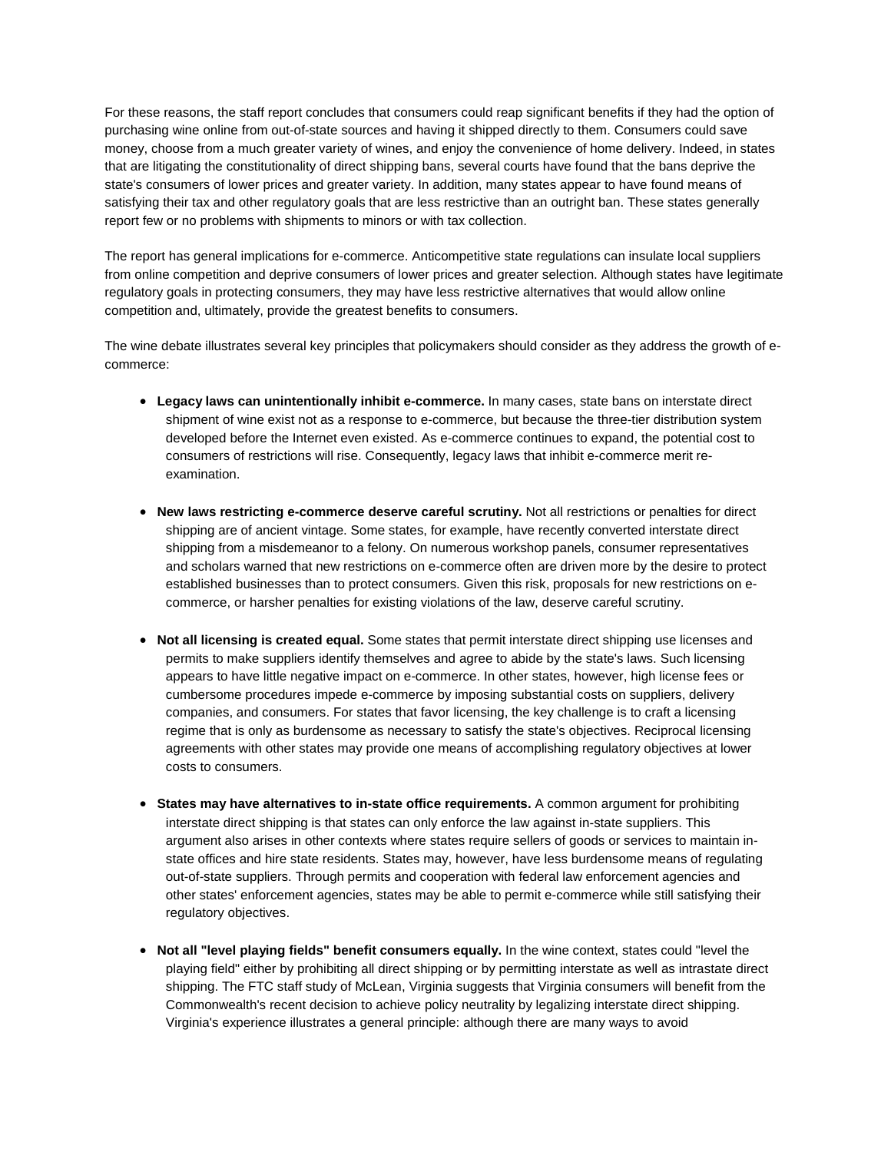For these reasons, the staff report concludes that consumers could reap significant benefits if they had the option of purchasing wine online from out-of-state sources and having it shipped directly to them. Consumers could save money, choose from a much greater variety of wines, and enjoy the convenience of home delivery. Indeed, in states that are litigating the constitutionality of direct shipping bans, several courts have found that the bans deprive the state's consumers of lower prices and greater variety. In addition, many states appear to have found means of satisfying their tax and other regulatory goals that are less restrictive than an outright ban. These states generally report few or no problems with shipments to minors or with tax collection.

The report has general implications for e-commerce. Anticompetitive state regulations can insulate local suppliers from online competition and deprive consumers of lower prices and greater selection. Although states have legitimate regulatory goals in protecting consumers, they may have less restrictive alternatives that would allow online competition and, ultimately, provide the greatest benefits to consumers.

The wine debate illustrates several key principles that policymakers should consider as they address the growth of ecommerce:

- **Legacy laws can unintentionally inhibit e-commerce.** In many cases, state bans on interstate direct shipment of wine exist not as a response to e-commerce, but because the three-tier distribution system developed before the Internet even existed. As e-commerce continues to expand, the potential cost to consumers of restrictions will rise. Consequently, legacy laws that inhibit e-commerce merit reexamination.
- **New laws restricting e-commerce deserve careful scrutiny.** Not all restrictions or penalties for direct shipping are of ancient vintage. Some states, for example, have recently converted interstate direct shipping from a misdemeanor to a felony. On numerous workshop panels, consumer representatives and scholars warned that new restrictions on e-commerce often are driven more by the desire to protect established businesses than to protect consumers. Given this risk, proposals for new restrictions on ecommerce, or harsher penalties for existing violations of the law, deserve careful scrutiny.
- **Not all licensing is created equal.** Some states that permit interstate direct shipping use licenses and permits to make suppliers identify themselves and agree to abide by the state's laws. Such licensing appears to have little negative impact on e-commerce. In other states, however, high license fees or cumbersome procedures impede e-commerce by imposing substantial costs on suppliers, delivery companies, and consumers. For states that favor licensing, the key challenge is to craft a licensing regime that is only as burdensome as necessary to satisfy the state's objectives. Reciprocal licensing agreements with other states may provide one means of accomplishing regulatory objectives at lower costs to consumers.
- **States may have alternatives to in-state office requirements.** A common argument for prohibiting interstate direct shipping is that states can only enforce the law against in-state suppliers. This argument also arises in other contexts where states require sellers of goods or services to maintain instate offices and hire state residents. States may, however, have less burdensome means of regulating out-of-state suppliers. Through permits and cooperation with federal law enforcement agencies and other states' enforcement agencies, states may be able to permit e-commerce while still satisfying their regulatory objectives.
- **Not all "level playing fields" benefit consumers equally.** In the wine context, states could "level the playing field" either by prohibiting all direct shipping or by permitting interstate as well as intrastate direct shipping. The FTC staff study of McLean, Virginia suggests that Virginia consumers will benefit from the Commonwealth's recent decision to achieve policy neutrality by legalizing interstate direct shipping. Virginia's experience illustrates a general principle: although there are many ways to avoid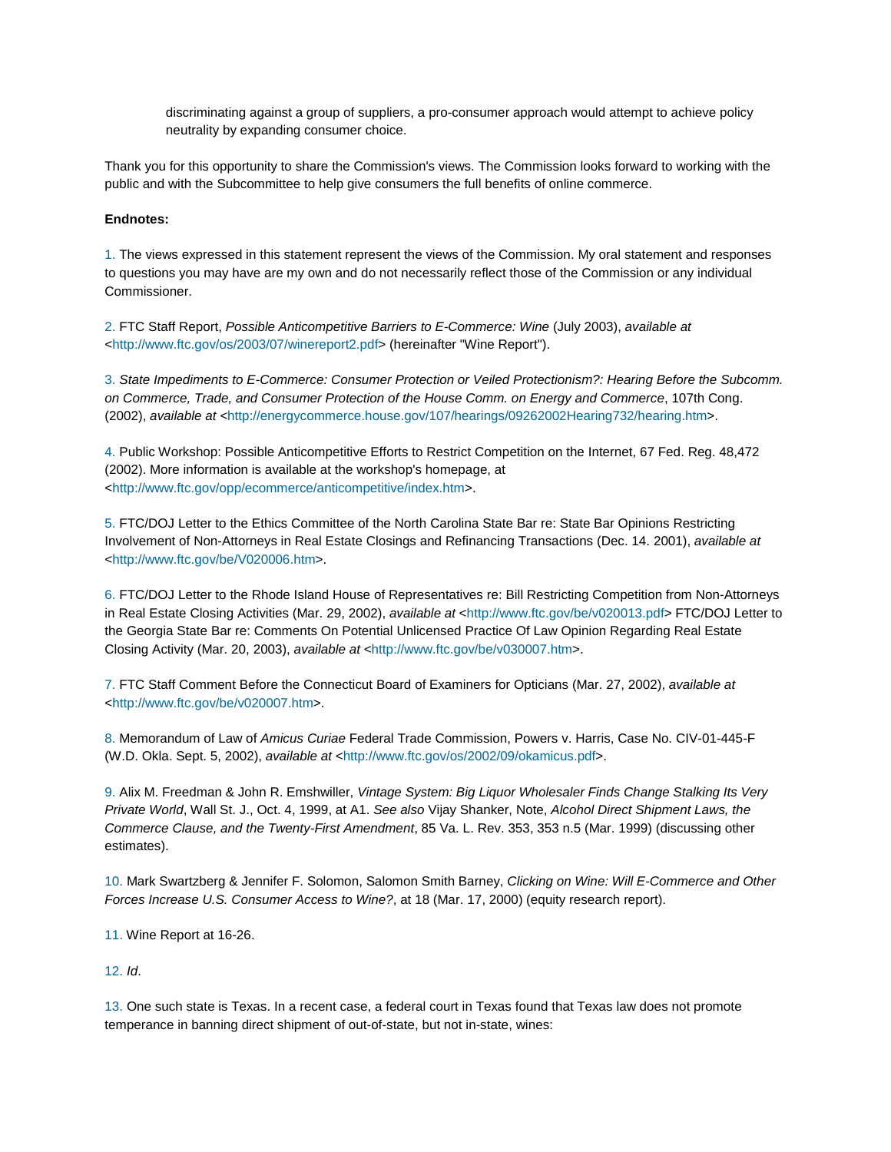discriminating against a group of suppliers, a pro-consumer approach would attempt to achieve policy neutrality by expanding consumer choice.

Thank you for this opportunity to share the Commission's views. The Commission looks forward to working with the public and with the Subcommittee to help give consumers the full benefits of online commerce.

#### **Endnotes:**

1. The views expressed in this statement represent the views of the Commission. My oral statement and responses to questions you may have are my own and do not necessarily reflect those of the Commission or any individual Commissioner.

2. FTC Staff Report, *Possible Anticompetitive Barriers to E-Commerce: Wine* (July 2003), *available at* <http://www.ftc.gov/os/2003/07/winereport2.pdf> (hereinafter "Wine Report").

3. *State Impediments to E-Commerce: Consumer Protection or Veiled Protectionism?: Hearing Before the Subcomm. on Commerce, Trade, and Consumer Protection of the House Comm. on Energy and Commerce*, 107th Cong. (2002), *available at <*http://energycommerce.house.gov/107/hearings/09262002Hearing732/hearing.htm>.

4. Public Workshop: Possible Anticompetitive Efforts to Restrict Competition on the Internet, 67 Fed. Reg. 48,472 (2002). More information is available at the workshop's homepage, at <http://www.ftc.gov/opp/ecommerce/anticompetitive/index.htm>.

5. FTC/DOJ Letter to the Ethics Committee of the North Carolina State Bar re: State Bar Opinions Restricting Involvement of Non-Attorneys in Real Estate Closings and Refinancing Transactions (Dec. 14. 2001), *available at* <http://www.ftc.gov/be/V020006.htm>.

6. FTC/DOJ Letter to the Rhode Island House of Representatives re: Bill Restricting Competition from Non-Attorneys in Real Estate Closing Activities (Mar. 29, 2002), *available at* <http://www.ftc.gov/be/v020013.pdf> FTC/DOJ Letter to the Georgia State Bar re: Comments On Potential Unlicensed Practice Of Law Opinion Regarding Real Estate Closing Activity (Mar. 20, 2003), *available at* <http://www.ftc.gov/be/v030007.htm>.

7. FTC Staff Comment Before the Connecticut Board of Examiners for Opticians (Mar. 27, 2002), *available at* <http://www.ftc.gov/be/v020007.htm>.

8. Memorandum of Law of *Amicus Curiae* Federal Trade Commission, Powers v. Harris, Case No. CIV-01-445-F (W.D. Okla. Sept. 5, 2002), *available at* <http://www.ftc.gov/os/2002/09/okamicus.pdf>.

9. Alix M. Freedman & John R. Emshwiller, *Vintage System: Big Liquor Wholesaler Finds Change Stalking Its Very Private World*, Wall St. J., Oct. 4, 1999, at A1. *See also* Vijay Shanker, Note, *Alcohol Direct Shipment Laws, the Commerce Clause, and the Twenty-First Amendment*, 85 Va. L. Rev. 353, 353 n.5 (Mar. 1999) (discussing other estimates).

10. Mark Swartzberg & Jennifer F. Solomon, Salomon Smith Barney, *Clicking on Wine: Will E-Commerce and Other Forces Increase U.S. Consumer Access to Wine?*, at 18 (Mar. 17, 2000) (equity research report).

11. Wine Report at 16-26.

#### 12. *Id*.

13. One such state is Texas. In a recent case, a federal court in Texas found that Texas law does not promote temperance in banning direct shipment of out-of-state, but not in-state, wines: